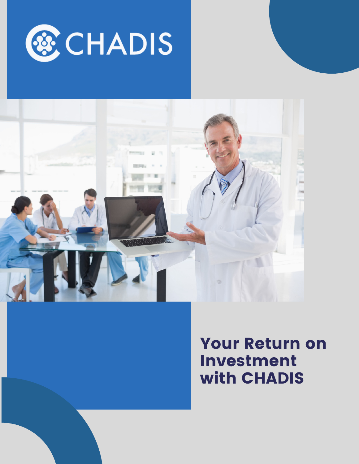



# Your Return on Investment with CHADIS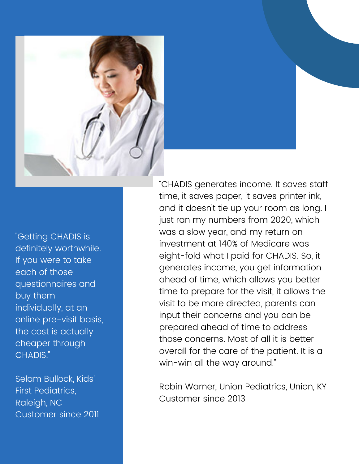

"Getting CHADIS is definitely worthwhile. If you were to take each of those questionnaires and buy them individually, at an online pre-visit basis, the cost is actually cheaper through CHADIS."

Selam Bullock, Kids' First Pediatrics, Raleigh, NC Customer since 2011

"CHADIS generates income. It saves staff time, it saves paper, it saves printer ink, and it doesn't tie up your room as long. I just ran my numbers from 2020, which was a slow year, and my return on investment at 140% of Medicare was eight-fold what I paid for CHADIS. So, it generates income, you get information ahead of time, which allows you better time to prepare for the visit, it allows the visit to be more directed, parents can input their concerns and you can be prepared ahead of time to address those concerns. Most of all it is better overall for the care of the patient. It is a win-win all the way around."

Robin Warner, Union Pediatrics, Union, KY Customer since 2013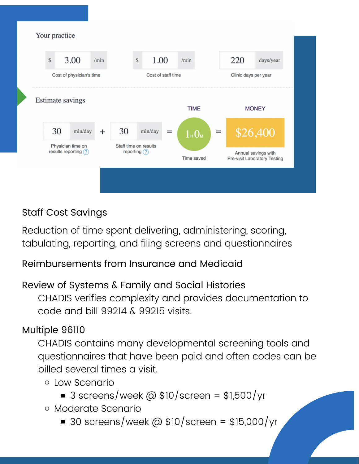

## Staff Cost Savings

Reduction of time spent delivering, administering, scoring, tabulating, reporting, and filing screens and questionnaires

#### Reimbursements from Insurance and Medicaid

#### Review of Systems & Family and Social Histories

CHADIS verifies complexity and provides documentation to code and bill 99214 & 99215 visits.

### Multiple 96110

CHADIS contains many developmental screening tools and questionnaires that have been paid and often codes can be billed several times a visit.

- Low Scenario
	- 3 screens/week @  $$10/screen = $1,500/yr$
- Moderate Scenario
	- 30 screens/week @  $$10/screen = $15,000/yr$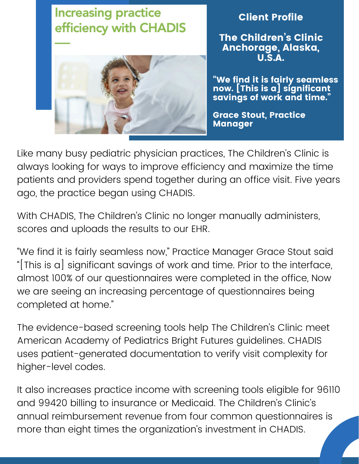

Client Profile

The Children's Clinic Anchorage, Alaska, U.S.A.

"We find it is fairly seamless now. [This is a] significant savings of work and time."

Grace Stout, Practice Manager

Like many busy pediatric physician practices, The Children's Clinic is always looking for ways to improve efficiency and maximize the time patients and providers spend together during an office visit. Five years ago, the practice began using CHADIS.

With CHADIS, The Children's Clinic no longer manually administers, scores and uploads the results to our EHR.

"We find it is fairly seamless now," Practice Manager Grace Stout said "[This is a] significant savings of work and time. Prior to the interface, almost 100% of our questionnaires were completed in the office, Now we are seeing an increasing percentage of questionnaires being completed at home."

The evidence-based screening tools help The Children's Clinic meet American Academy of Pediatrics Bright Futures guidelines. CHADIS uses patient-generated documentation to verify visit complexity for higher-level codes.

It also increases practice income with screening tools eligible for 96110 and 99420 billing to insurance or Medicaid. The Children's Clinic's annual reimbursement revenue from four common questionnaires is more than eight times the organization's investment in CHADIS.